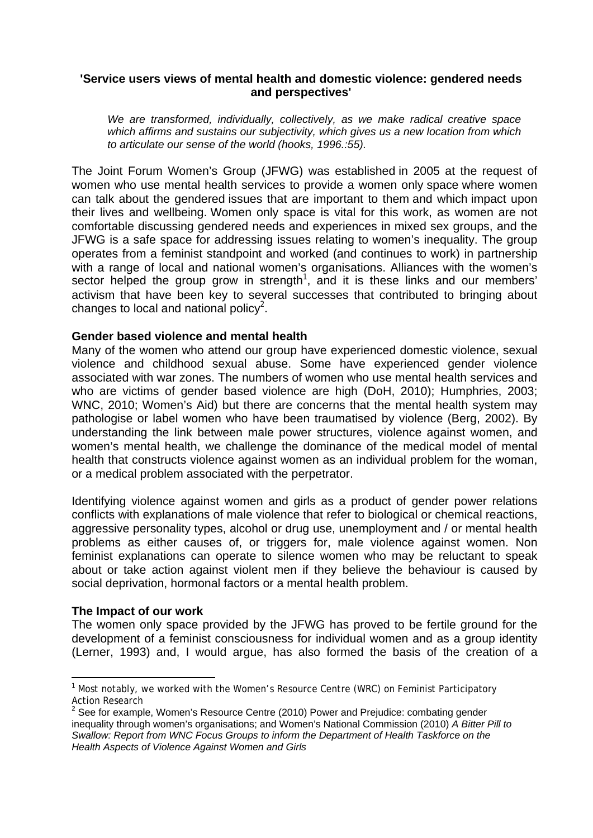## **'Service users views of mental health and domestic violence: gendered needs and perspectives'**

*We are transformed, individually, collectively, as we make radical creative space which affirms and sustains our subjectivity, which gives us a new location from which to articulate our sense of the world (hooks, 1996.:55).* 

The Joint Forum Women's Group (JFWG) was established in 2005 at the request of women who use mental health services to provide a women only space where women can talk about the gendered issues that are important to them and which impact upon their lives and wellbeing. Women only space is vital for this work, as women are not comfortable discussing gendered needs and experiences in mixed sex groups, and the JFWG is a safe space for addressing issues relating to women's inequality. The group operates from a feminist standpoint and worked (and continues to work) in partnership with a range of local and national women's organisations. Alliances with the women's sector helped the group grow in strength<sup>1</sup>, and it is these links and our members' activism that have been key to several successes that contributed to bringing about changes to local and national policy<sup>2</sup>.

## **Gender based violence and mental health**

Many of the women who attend our group have experienced domestic violence, sexual violence and childhood sexual abuse. Some have experienced gender violence associated with war zones. The numbers of women who use mental health services and who are victims of gender based violence are high (DoH, 2010); Humphries, 2003; WNC, 2010; Women's Aid) but there are concerns that the mental health system may pathologise or label women who have been traumatised by violence (Berg, 2002). By understanding the link between male power structures, violence against women, and women's mental health, we challenge the dominance of the medical model of mental health that constructs violence against women as an individual problem for the woman, or a medical problem associated with the perpetrator.

Identifying violence against women and girls as a product of gender power relations conflicts with explanations of male violence that refer to biological or chemical reactions, aggressive personality types, alcohol or drug use, unemployment and / or mental health problems as either causes of, or triggers for, male violence against women. Non feminist explanations can operate to silence women who may be reluctant to speak about or take action against violent men if they believe the behaviour is caused by social deprivation, hormonal factors or a mental health problem.

## **The Impact of our work**

-

The women only space provided by the JFWG has proved to be fertile ground for the development of a feminist consciousness for individual women and as a group identity (Lerner, 1993) and, I would argue, has also formed the basis of the creation of a

<sup>&</sup>lt;sup>1</sup> Most notably, we worked with the Women's Resource Centre (WRC) on Feminist Participatory Action Research

<sup>&</sup>lt;sup>2</sup> See for example, Women's Resource Centre (2010) Power and Prejudice: combating gender inequality through women's organisations; and Women's National Commission (2010) *A Bitter Pill to Swallow: Report from WNC Focus Groups to inform the Department of Health Taskforce on the Health Aspects of Violence Against Women and Girls*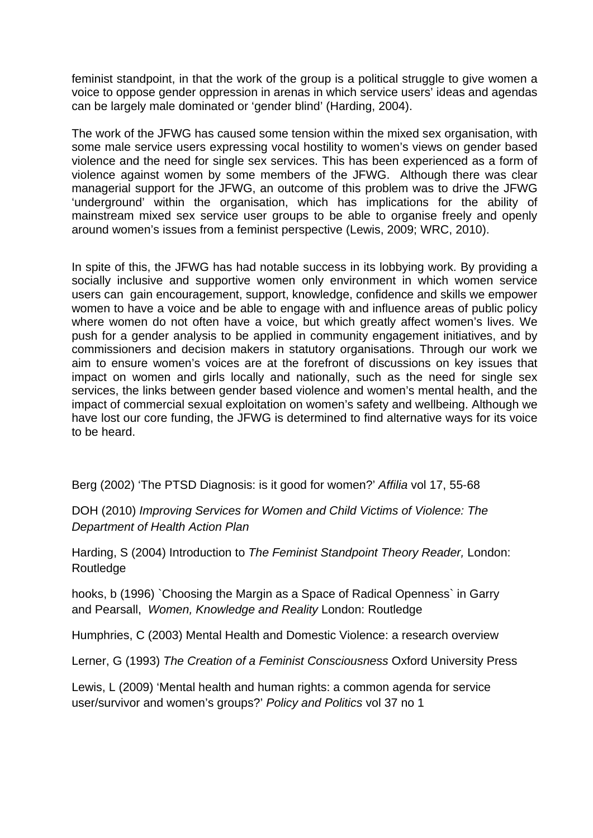feminist standpoint, in that the work of the group is a political struggle to give women a voice to oppose gender oppression in arenas in which service users' ideas and agendas can be largely male dominated or 'gender blind' (Harding, 2004).

The work of the JFWG has caused some tension within the mixed sex organisation, with some male service users expressing vocal hostility to women's views on gender based violence and the need for single sex services. This has been experienced as a form of violence against women by some members of the JFWG. Although there was clear managerial support for the JFWG, an outcome of this problem was to drive the JFWG 'underground' within the organisation, which has implications for the ability of mainstream mixed sex service user groups to be able to organise freely and openly around women's issues from a feminist perspective (Lewis, 2009; WRC, 2010).

In spite of this, the JFWG has had notable success in its lobbying work. By providing a socially inclusive and supportive women only environment in which women service users can gain encouragement, support, knowledge, confidence and skills we empower women to have a voice and be able to engage with and influence areas of public policy where women do not often have a voice, but which greatly affect women's lives. We push for a gender analysis to be applied in community engagement initiatives, and by commissioners and decision makers in statutory organisations. Through our work we aim to ensure women's voices are at the forefront of discussions on key issues that impact on women and girls locally and nationally, such as the need for single sex services, the links between gender based violence and women's mental health, and the impact of commercial sexual exploitation on women's safety and wellbeing. Although we have lost our core funding, the JFWG is determined to find alternative ways for its voice to be heard.

Berg (2002) 'The PTSD Diagnosis: is it good for women?' *Affilia* vol 17, 55-68

DOH (2010) *Improving Services for Women and Child Victims of Violence: The Department of Health Action Plan* 

Harding, S (2004) Introduction to *The Feminist Standpoint Theory Reader,* London: Routledge

hooks, b (1996) `Choosing the Margin as a Space of Radical Openness` in Garry and Pearsall, *Women, Knowledge and Reality* London: Routledge

Humphries, C (2003) Mental Health and Domestic Violence: a research overview

Lerner, G (1993) *The Creation of a Feminist Consciousness* Oxford University Press

Lewis, L (2009) 'Mental health and human rights: a common agenda for service user/survivor and women's groups?' *Policy and Politics* vol 37 no 1